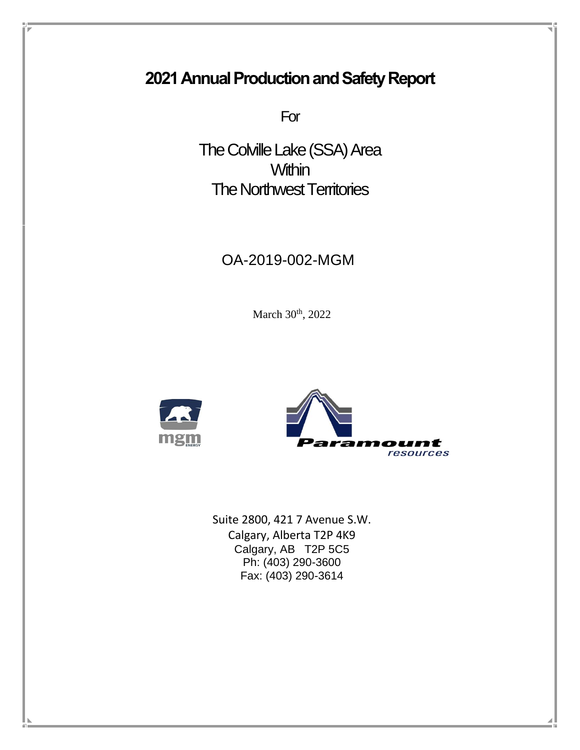# **2021 Annual Production and Safety Report**

For

The Colville Lake (SSA) Area **Within** The Northwest Territories

# OA-2019-002-MGM

March 30<sup>th</sup>, 2022





Suite 2800, 421 7 Avenue S.W. Calgary, Alberta T2P 4K9 Calgary, AB T2P 5C5 Ph: (403) 290-3600 Fax: (403) 290-3614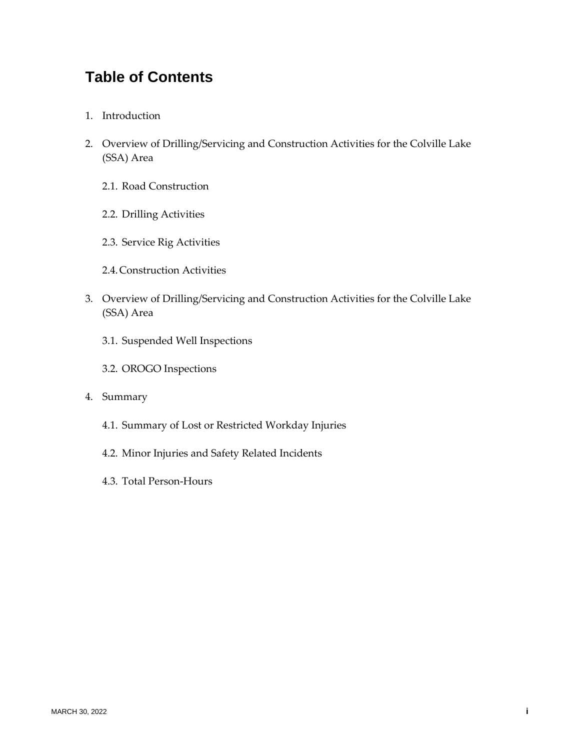# **Table of Contents**

- 1. Introduction
- 2. Overview of Drilling/Servicing and Construction Activities for the Colville Lake (SSA) Area
	- 2.1. Road Construction
	- 2.2. Drilling Activities
	- 2.3. Service Rig Activities
	- 2.4.Construction Activities
- 3. Overview of Drilling/Servicing and Construction Activities for the Colville Lake (SSA) Area
	- 3.1. Suspended Well Inspections
	- 3.2. OROGO Inspections
- 4. Summary
	- 4.1. Summary of Lost or Restricted Workday Injuries
	- 4.2. Minor Injuries and Safety Related Incidents
	- 4.3. Total Person-Hours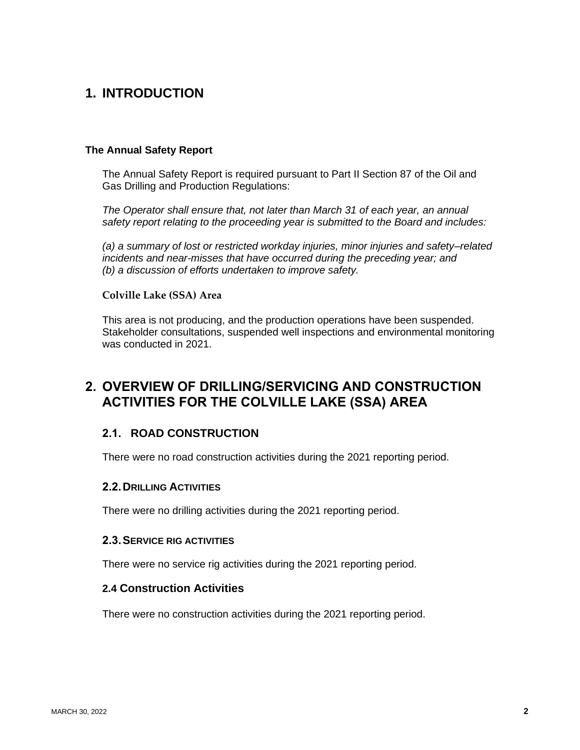# **1. INTRODUCTION**

#### **The Annual Safety Report**

The Annual Safety Report is required pursuant to Part II Section 87 of the Oil and Gas Drilling and Production Regulations:

*The Operator shall ensure that, not later than March 31 of each year, an annual safety report relating to the proceeding year is submitted to the Board and includes:*

*(a) a summary of lost or restricted workday injuries, minor injuries and safety–related incidents and near-misses that have occurred during the preceding year; and (b) a discussion of efforts undertaken to improve safety.*

#### **Colville Lake (SSA) Area**

This area is not producing, and the production operations have been suspended. Stakeholder consultations, suspended well inspections and environmental monitoring was conducted in 2021.

## **2. OVERVIEW OF DRILLING/SERVICING AND CONSTRUCTION ACTIVITIES FOR THE COLVILLE LAKE (SSA) AREA**

### **2.1. ROAD CONSTRUCTION**

There were no road construction activities during the 2021 reporting period.

#### **2.2.DRILLING ACTIVITIES**

There were no drilling activities during the 2021 reporting period.

#### **2.3.SERVICE RIG ACTIVITIES**

There were no service rig activities during the 2021 reporting period.

#### **2.4 Construction Activities**

There were no construction activities during the 2021 reporting period.